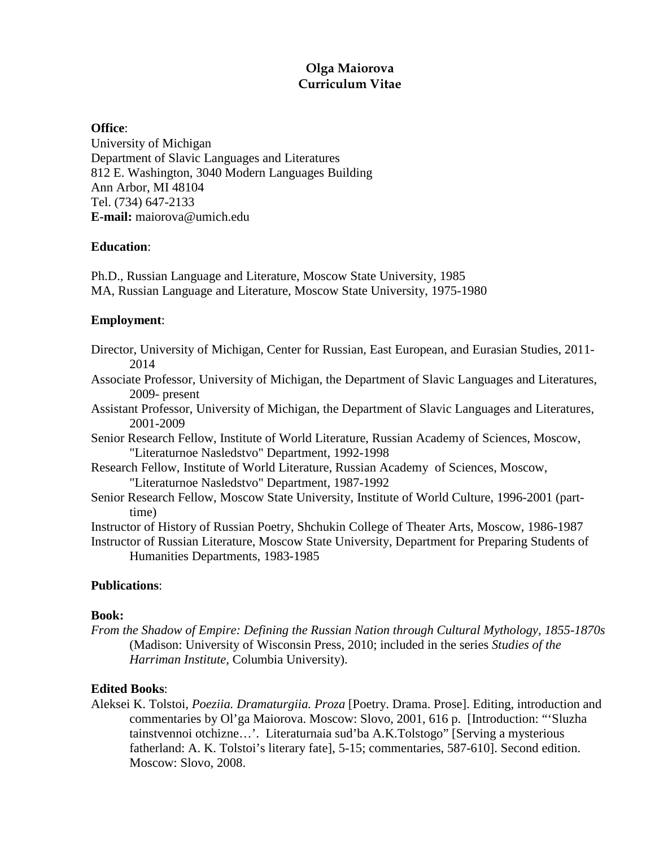# **Olga Maiorova Curriculum Vitae**

## **Office**:

University of Michigan Department of Slavic Languages and Literatures 812 E. Washington, 3040 Modern Languages Building Ann Arbor, MI 48104 Tel. (734) 647-2133 **E-mail:** maiorova@umich.edu

# **Education**:

Ph.D., Russian Language and Literature, Moscow State University, 1985 MA, Russian Language and Literature, Moscow State University, 1975-1980

# **Employment**:

- Director, University of Michigan, Center for Russian, East European, and Eurasian Studies, 2011- 2014
- Associate Professor, University of Michigan, the Department of Slavic Languages and Literatures, 2009- present
- Assistant Professor, University of Michigan, the Department of Slavic Languages and Literatures, 2001-2009
- Senior Research Fellow, Institute of World Literature, Russian Academy of Sciences, Moscow, "Literaturnoe Nasledstvo" Department, 1992-1998
- Research Fellow, Institute of World Literature, Russian Academy of Sciences, Moscow, "Literaturnoe Nasledstvo" Department, 1987-1992
- Senior Research Fellow, Moscow State University, Institute of World Culture, 1996-2001 (parttime)

Instructor of History of Russian Poetry, Shchukin College of Theater Arts, Moscow, 1986-1987

Instructor of Russian Literature, Moscow State University, Department for Preparing Students of Humanities Departments, 1983-1985

# **Publications**:

# **Book:**

*From the Shadow of Empire: Defining the Russian Nation through Cultural Mythology, 1855-1870s*  (Madison: University of Wisconsin Press, 2010; included in the series *Studies of the Harriman Institute,* Columbia University).

# **Edited Books**:

Aleksei K. Tolstoi*, Poeziia. Dramaturgiia. Proza* [Poetry. Drama. Prose]. Editing, introduction and commentaries by Ol'ga Maiorova. Moscow: Slovo, 2001, 616 p. [Introduction: "'Sluzha tainstvennoi otchizne…'. Literaturnaia sud'ba A.K.Tolstogo" [Serving a mysterious fatherland: A. K. Tolstoi's literary fate], 5-15; commentaries, 587-610]. Second edition. Moscow: Slovo, 2008.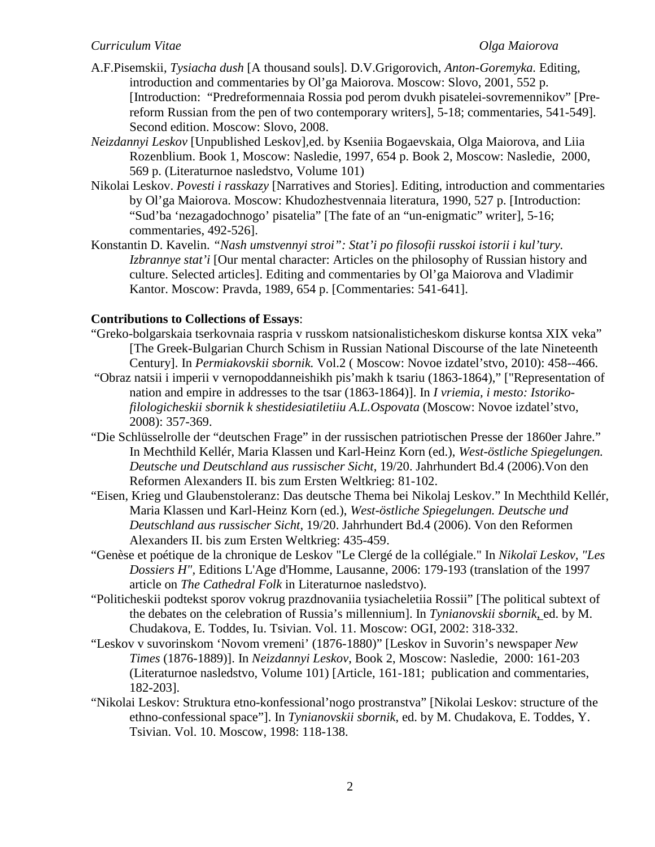- A.F.Pisemskii, *Tysiacha dush* [A thousand souls]*.* D.V.Grigorovich, *Anton-Goremyka.* Editing, introduction and commentaries by Ol'ga Maiorova. Moscow: Slovo, 2001, 552 p. [Introduction: "Predreformennaia Rossia pod perom dvukh pisatelei-sovremennikov" [Prereform Russian from the pen of two contemporary writers], 5-18; commentaries, 541-549]. Second edition. Moscow: Slovo, 2008.
- *Neizdannyi Leskov* [Unpublished Leskov]*,*ed. by Kseniia Bogaevskaia, Olga Maiorova, and Liia Rozenblium. Book 1, Moscow: Nasledie, 1997, 654 p. Book 2, Moscow: Nasledie, 2000, 569 p. (Literaturnoe nasledstvo, Volume 101)
- Nikolai Leskov. *Povesti i rasskazy* [Narratives and Stories]. Editing, introduction and commentaries by Ol'ga Maiorova. Moscow: Khudozhestvennaia literatura, 1990, 527 p. [Introduction: "Sud'ba 'nezagadochnogo' pisatelia" [The fate of an "un-enigmatic" writer], 5-16; commentaries, 492-526].
- Konstantin D. Kavelin. *"Nash umstvennyi stroi": Stat'i po filosofii russkoi istorii i kul'tury. Izbrannye stat'i* [Our mental character: Articles on the philosophy of Russian history and culture. Selected articles]. Editing and commentaries by Ol'ga Maiorova and Vladimir Kantor. Moscow: Pravda, 1989, 654 p. [Commentaries: 541-641].

## **Contributions to Collections of Essays**:

- "Greko-bolgarskaia tserkovnaia raspria v russkom natsionalisticheskom diskurse kontsa XIX veka" [The Greek-Bulgarian Church Schism in Russian National Discourse of the late Nineteenth Century]. In *Permiakovskii sbornik.* Vol.2 ( Moscow: Novoe izdatel'stvo, 2010): 458--466.
- "Obraz natsii i imperii v vernopoddanneishikh pis'makh k tsariu (1863-1864)," ["Representation of nation and empire in addresses to the tsar (1863-1864)]. In *I vriemia, i mesto: Istorikofilologicheskii sbornik k shestidesiatiletiiu A.L.Ospovata* (Moscow: Novoe izdatel'stvo, 2008): 357-369.
- "Die Schlüsselrolle der "deutschen Frage" in der russischen patriotischen Presse der 1860er Jahre." In Mechthild Kellér, Maria Klassen und Karl-Heinz Korn (ed.), *West-östliche Spiegelungen. Deutsche und Deutschland aus russischer Sicht*, 19/20. Jahrhundert Bd.4 (2006).Von den Reformen Alexanders II. bis zum Ersten Weltkrieg: 81-102.
- "Eisen, Krieg und Glaubenstoleranz: Das deutsche Thema bei Nikolaj Leskov." In Mechthild Kellér, Maria Klassen und Karl-Heinz Korn (ed.), *West-östliche Spiegelungen. Deutsche und Deutschland aus russischer Sicht*, 19/20. Jahrhundert Bd.4 (2006). Von den Reformen Alexanders II. bis zum Ersten Weltkrieg: 435-459.
- "Genèse et poétique de la chronique de Leskov "Le Clergé de la collégiale." In *Nikolaï Leskov, "Les Dossiers H",* Editions L'Age d'Homme, Lausanne, 2006: 179-193 (translation of the 1997 article on *The Cathedral Folk* in Literaturnoe nasledstvo).
- "Politicheskii podtekst sporov vokrug prazdnovaniia tysiacheletiia Rossii" [The political subtext of the debates on the celebration of Russia's millennium]. In *Tynianovskii sbornik*, ed. by M. Chudakova, E. Toddes, Iu. Tsivian. Vol. 11. Moscow: OGI, 2002: 318-332.
- "Leskov v suvorinskom 'Novom vremeni' (1876-1880)" [Leskov in Suvorin's newspaper *New Times* (1876-1889)]. In *Neizdannyi Leskov*, Book 2, Moscow: Nasledie, 2000: 161-203 (Literaturnoe nasledstvo, Volume 101) [Article, 161-181; publication and commentaries, 182-203].
- "Nikolai Leskov: Struktura etno-konfessional'nogo prostranstva" [Nikolai Leskov: structure of the ethno-confessional space"]. In *Tynianovskii sbornik*, ed. by M. Chudakova, E. Toddes, Y. Tsivian. Vol. 10. Moscow, 1998: 118-138.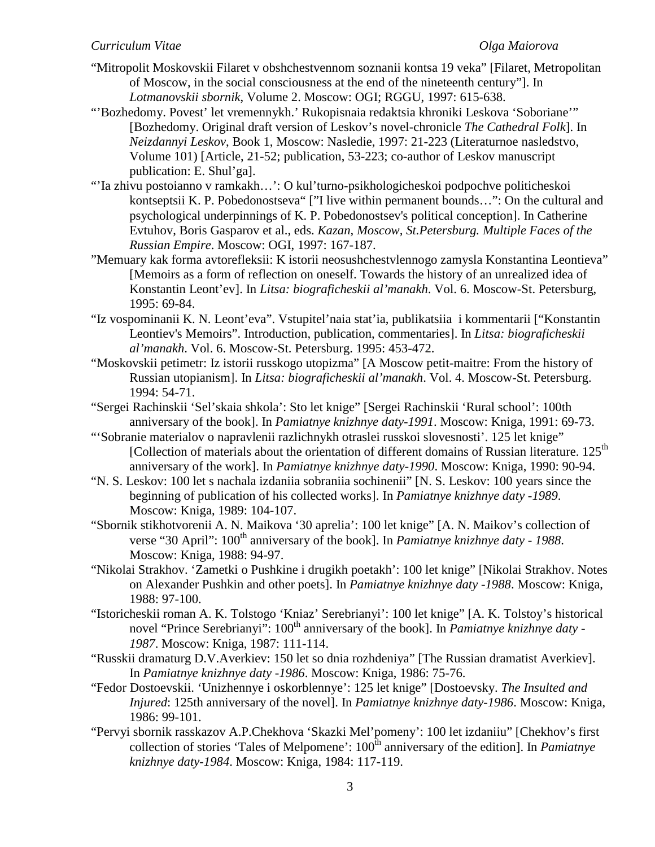- "Mitropolit Moskovskii Filaret v obshchestvennom soznanii kontsa 19 veka" [Filaret, Metropolitan of Moscow, in the social consciousness at the end of the nineteenth century"]. In *Lotmanovskii sbornik*, Volume 2. Moscow: OGI; RGGU, 1997: 615-638.
- "'Bozhedomy. Povest' let vremennykh.' Rukopisnaia redaktsia khroniki Leskova 'Soboriane'" [Bozhedomy. Original draft version of Leskov's novel-chronicle *The Cathedral Folk*]. In *Neizdannyi Leskov*, Book 1, Moscow: Nasledie, 1997: 21-223 (Literaturnoe nasledstvo, Volume 101) [Article, 21-52; publication, 53-223; co-author of Leskov manuscript publication: E. Shul'ga].
- "'Ia zhivu postoianno v ramkakh…': O kul'turno-psikhologicheskoi podpochve politicheskoi kontseptsii K. P. Pobedonostseva" ["I live within permanent bounds...": On the cultural and psychological underpinnings of K. P. Pobedonostsev's political conception]. In Catherine Evtuhov, Boris Gasparov et al., eds. *Kazan, Moscow, St.Petersburg. Multiple Faces of the Russian Empire*. Moscow: OGI, 1997: 167-187.
- "Memuary kak forma avtorefleksii: K istorii neosushchestvlennogo zamysla Konstantina Leontieva" [Memoirs as a form of reflection on oneself. Towards the history of an unrealized idea of Konstantin Leont'ev]. In *Litsa: biograficheskii al'manakh*. Vol. 6. Moscow-St. Petersburg, 1995: 69-84.
- "Iz vospominanii K. N. Leont'eva". Vstupitel'naia stat'ia, publikatsiia i kommentarii ["Konstantin Leontiev's Memoirs". Introduction, publication, commentaries]. In *Litsa: biograficheskii al'manakh*. Vol. 6. Moscow-St. Petersburg. 1995: 453-472.
- "Moskovskii petimetr: Iz istorii russkogo utopizma" [A Moscow petit-maitre: From the history of Russian utopianism]. In *Litsa: biograficheskii al'manakh*. Vol. 4. Moscow-St. Petersburg. 1994: 54-71.
- "Sergei Rachinskii 'Sel'skaia shkola': Sto let knige" [Sergei Rachinskii 'Rural school': 100th anniversary of the book]. In *Pamiatnye knizhnye daty-1991*. Moscow: Kniga, 1991: 69-73.
- "'Sobranie materialov o napravlenii razlichnykh otraslei russkoi slovesnosti'. 125 let knige" [Collection of materials about the orientation of different domains of Russian literature. 125<sup>th</sup> anniversary of the work]. In *Pamiatnye knizhnye daty-1990*. Moscow: Kniga, 1990: 90-94.
- "N. S. Leskov: 100 let s nachala izdaniia sobraniia sochinenii" [N. S. Leskov: 100 years since the beginning of publication of his collected works]. In *Pamiatnye knizhnye daty -1989*. Moscow: Kniga, 1989: 104-107.
- "Sbornik stikhotvorenii A. N. Maikova '30 aprelia': 100 let knige" [A. N. Maikov's collection of verse "30 April": 100<sup>th</sup> anniversary of the book]. In *Pamiatnye knizhnye daty - 1988*. Moscow: Kniga, 1988: 94-97.
- "Nikolai Strakhov. 'Zametki o Pushkine i drugikh poetakh': 100 let knige" [Nikolai Strakhov. Notes on Alexander Pushkin and other poets]. In *Pamiatnye knizhnye daty -1988*. Moscow: Kniga, 1988: 97-100.
- "Istoricheskii roman A. K. Tolstogo 'Kniaz' Serebrianyi': 100 let knige" [A. K. Tolstoy's historical novel "Prince Serebrianyi": 100<sup>th</sup> anniversary of the book]. In *Pamiatnye knizhnye daty* -*1987*. Moscow: Kniga, 1987: 111-114.
- "Russkii dramaturg D.V.Averkiev: 150 let so dnia rozhdeniya" [The Russian dramatist Averkiev]. In *Pamiatnye knizhnye daty -1986*. Moscow: Kniga, 1986: 75-76.
- "Fedor Dostoevskii. 'Unizhennye i oskorblennye': 125 let knige" [Dostoevsky. *The Insulted and Injured*: 125th anniversary of the novel]. In *Pamiatnye knizhnye daty-1986*. Moscow: Kniga, 1986: 99-101.
- "Pervyi sbornik rasskazov A.P.Chekhova 'Skazki Mel'pomeny': 100 let izdaniiu" [Chekhov's first collection of stories 'Tales of Melpomene': 100<sup>th</sup> anniversary of the edition]. In *Pamiatnye knizhnye daty-1984*. Moscow: Kniga, 1984: 117-119.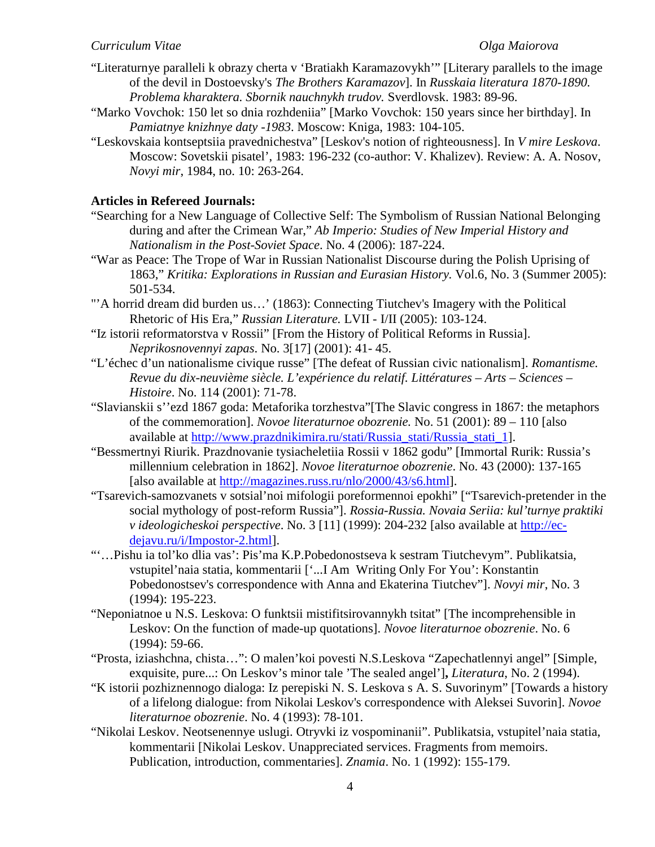- "Literaturnye paralleli k obrazy cherta v 'Bratiakh Karamazovykh'" [Literary parallels to the image of the devil in Dostoevsky's *The Brothers Karamazov*]. In *Russkaia literatura 1870-1890. Problema kharaktera. Sbornik nauchnykh trudov.* Sverdlovsk. 1983: 89-96.
- "Marko Vovchok: 150 let so dnia rozhdeniia" [Marko Vovchok: 150 years since her birthday]. In *Pamiatnye knizhnye daty -1983*. Moscow: Kniga, 1983: 104-105.
- "Leskovskaia kontseptsiia pravednichestva" [Leskov's notion of righteousness]. In *V mire Leskova*. Moscow: Sovetskii pisatel', 1983: 196-232 (co-author: V. Khalizev). Review: A. A. Nosov, *Novyi mir*, 1984, no. 10: 263-264.

## **Articles in Refereed Journals:**

- "Searching for a New Language of Collective Self: The Symbolism of Russian National Belonging during and after the Crimean War," *Ab Imperio: Studies of New Imperial History and Nationalism in the Post-Soviet Space*. No. 4 (2006): 187-224.
- "War as Peace: The Trope of War in Russian Nationalist Discourse during the Polish Uprising of 1863," *Kritika: Explorations in Russian and Eurasian History.* Vol.6, No. 3 (Summer 2005): 501-534.
- "'A horrid dream did burden us…' (1863): Connecting Tiutchev's Imagery with the Political Rhetoric of His Era," *Russian Literature.* LVII - I/II (2005): 103-124.
- "Iz istorii reformatorstva v Rossii" [From the History of Political Reforms in Russia]. *Neprikosnovennyi zapas*. No. 3[17] (2001): 41- 45.
- "L'échec d'un nationalisme civique russe" [The defeat of Russian civic nationalism]. *Romantisme. Revue du dix-neuvième siècle. L'expérience du relatif. Littératures – Arts – Sciences – Histoire*. No. 114 (2001): 71-78.
- "Slavianskii s''ezd 1867 goda: Metaforika torzhestva"[The Slavic congress in 1867: the metaphors of the commemoration]. *Novoe literaturnoe obozrenie.* No. 51 (2001): 89 – 110 [also available at [http://www.prazdnikimira.ru/stati/Russia\\_stati/Russia\\_stati\\_1\]](http://www.prazdnikimira.ru/stati/Russia_stati/Russia_stati_1).
- "Bessmertnyi Riurik. Prazdnovanie tysiacheletiia Rossii v 1862 godu" [Immortal Rurik: Russia's millennium celebration in 1862]. *Novoe literaturnoe obozrenie*. No. 43 (2000): 137-165 [also available at [http://magazines.russ.ru/nlo/2000/43/s6.html\]](http://magazines.russ.ru/nlo/2000/43/s6.html).
- "Tsarevich-samozvanets v sotsial'noi mifologii poreformennoi epokhi" ["Tsarevich-pretender in the social mythology of post-reform Russia"]. *Rossia-Russia. Novaia Seriia: kul'turnye praktiki v ideologicheskoi perspective*. No. 3 [11] (1999): 204-232 [also available at [http://ec](https://exchange.umich.edu/owa/redir.aspx?C=7cf0316fd8d746688795c242a8fae883&URL=http%3a%2f%2fec-dejavu.ru%2fi%2fImpostor-2.html)[dejavu.ru/i/Impostor-2.html\]](https://exchange.umich.edu/owa/redir.aspx?C=7cf0316fd8d746688795c242a8fae883&URL=http%3a%2f%2fec-dejavu.ru%2fi%2fImpostor-2.html).
- "'…Pishu ia tol'ko dlia vas': Pis'ma K.P.Pobedonostseva k sestram Tiutchevym". Publikatsia, vstupitel'naia statia, kommentarii ['...I Am Writing Only For You': Konstantin Pobedonostsev's correspondence with Anna and Ekaterina Tiutchev"]. *Novyi mir*, No. 3 (1994): 195-223.
- "Neponiatnoe u N.S. Leskova: O funktsii mistifitsirovannykh tsitat" [The incomprehensible in Leskov: On the function of made-up quotations]. *Novoe literaturnoe obozrenie*. No. 6 (1994): 59-66.
- "Prosta, iziashchna, chista…": O malen'koi povesti N.S.Leskova "Zapechatlennyi angel" [Simple, exquisite, pure...: On Leskov's minor tale 'The sealed angel']**,** *Literatura*, No. 2 (1994).
- "K istorii pozhiznennogo dialoga: Iz perepiski N. S. Leskova s A. S. Suvorinym" [Towards a history of a lifelong dialogue: from Nikolai Leskov's correspondence with Aleksei Suvorin]. *Novoe literaturnoe obozrenie*. No. 4 (1993): 78-101.
- "Nikolai Leskov. Neotsenennye uslugi. Otryvki iz vospominanii". Publikatsia, vstupitel'naia statia, kommentarii [Nikolai Leskov. Unappreciated services. Fragments from memoirs. Publication, introduction, commentaries]. *Znamia*. No. 1 (1992): 155-179.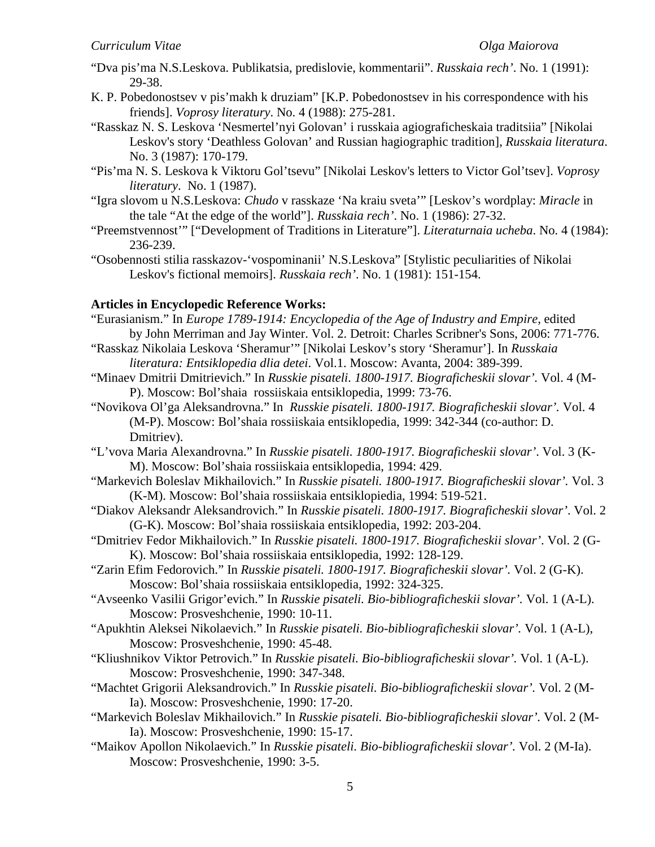- "Dva pis'ma N.S.Leskova. Publikatsia, predislovie, kommentarii". *Russkaia rech'*. No. 1 (1991): 29-38.
- K. P. Pobedonostsev v pis'makh k druziam" [K.P. Pobedonostsev in his correspondence with his friends]. *Voprosy literatury*. No. 4 (1988): 275-281.
- "Rasskaz N. S. Leskova 'Nesmertel'nyi Golovan' i russkaia agiograficheskaia traditsiia" [Nikolai Leskov's story 'Deathless Golovan' and Russian hagiographic tradition], *Russkaia literatura*. No. 3 (1987): 170-179.
- "Pis'ma N. S. Leskova k Viktoru Gol'tsevu" [Nikolai Leskov's letters to Victor Gol'tsev]. *Voprosy literatury*. No. 1 (1987).
- "Igra slovom u N.S.Leskova: *Chudo* v rasskaze 'Na kraiu sveta'" [Leskov's wordplay: *Miracle* in the tale "At the edge of the world"]. *Russkaia rech'*. No. 1 (1986): 27-32.
- "Preemstvennost'" ["Development of Traditions in Literature"]. *Literaturnaia ucheba*. No. 4 (1984): 236-239.
- "Osobennosti stilia rasskazov-'vospominanii' N.S.Leskova" [Stylistic peculiarities of Nikolai Leskov's fictional memoirs]. *Russkaia rech'*. No. 1 (1981): 151-154.

## **Articles in Encyclopedic Reference Works:**

- "Eurasianism." In *Europe 1789-1914: Encyclopedia of the Age of Industry and Empire,* edited by John Merriman and Jay Winter. Vol. 2. Detroit: Charles Scribner's Sons, 2006: 771-776.
- "Rasskaz Nikolaia Leskova 'Sheramur'" [Nikolai Leskov's story 'Sheramur']. In *Russkaia literatura: Entsiklopedia dlia detei*. Vol.1. Moscow: Avanta, 2004: 389-399.
- "Minaev Dmitrii Dmitrievich." In *Russkie pisateli. 1800-1917. Biograficheskii slovar'.* Vol. 4 (M-P). Мoscow: Bol'shaia rossiiskaia entsiklopedia, 1999: 73-76.
- "Novikova Ol'ga Aleksandrovna." In *Russkie pisateli. 1800-1917. Biograficheskii slovar'.* Vol. 4 (M-P). Мoscow: Bol'shaia rossiiskaia entsiklopedia, 1999: 342-344 (co-author: D. Dmitriev).
- "L'vova Maria Alexandrovna." In *Russkie pisateli. 1800-1917. Biograficheskii slovar'*. Vol. 3 (K-M). Мoscow: Bol'shaia rossiiskaia entsiklopedia, 1994: 429.
- "Markevich Boleslav Mikhailovich." In *Russkie pisateli. 1800-1917. Biograficheskii slovar'.* Vol. 3 (K-M). Мoscow: Bol'shaia rossiiskaia entsiklopiedia, 1994: 519-521.
- "Diakov Aleksandr Aleksandrovich." In *Russkie pisateli. 1800-1917. Biograficheskii slovar'*. Vol. 2 (G-K). Мoscow: Bol'shaia rossiiskaia entsiklopedia, 1992: 203-204.
- "Dmitriev Fedor Mikhailovich." In *Russkie pisateli. 1800-1917. Biograficheskii slovar'*. Vol. 2 (G-K). Мoscow: Bol'shaia rossiiskaia entsiklopedia, 1992: 128-129.
- "Zarin Efim Fedorovich." In *Russkie pisateli. 1800-1917. Biograficheskii slovar'.* Vol. 2 (G-K). Мoscow: Bol'shaia rossiiskaia entsiklopedia, 1992: 324-325.
- "Avseenko Vasilii Grigor'evich." In *Russkie pisateli. Bio-bibliograficheskii slovar'.* Vol. 1 (A-L). Moscow: Prosveshchenie, 1990: 10-11.
- "Apukhtin Aleksei Nikolaevich." In *Russkie pisateli. Bio-bibliograficheskii slovar'.* Vol. 1 (A-L), Moscow: Prosveshchenie, 1990: 45-48.
- "Kliushnikov Viktor Petrovich." In *Russkie pisateli. Bio-bibliograficheskii slovar'.* Vol. 1 (A-L). Moscow: Prosveshchenie, 1990: 347-348.
- "Machtet Grigorii Aleksandrovich." In *Russkie pisateli. Bio-bibliograficheskii slovar'.* Vol. 2 (M-Ia). Moscow: Prosveshchenie, 1990: 17-20.
- "Markevich Boleslav Mikhailovich." In *Russkie pisateli. Bio-bibliograficheskii slovar'.* Vol. 2 (M-Ia). Moscow: Prosveshchenie, 1990: 15-17.
- "Maikov Apollon Nikolaevich." In *Russkie pisateli. Bio-bibliograficheskii slovar'.* Vol. 2 (M-Ia). Moscow: Prosveshchenie, 1990: 3-5.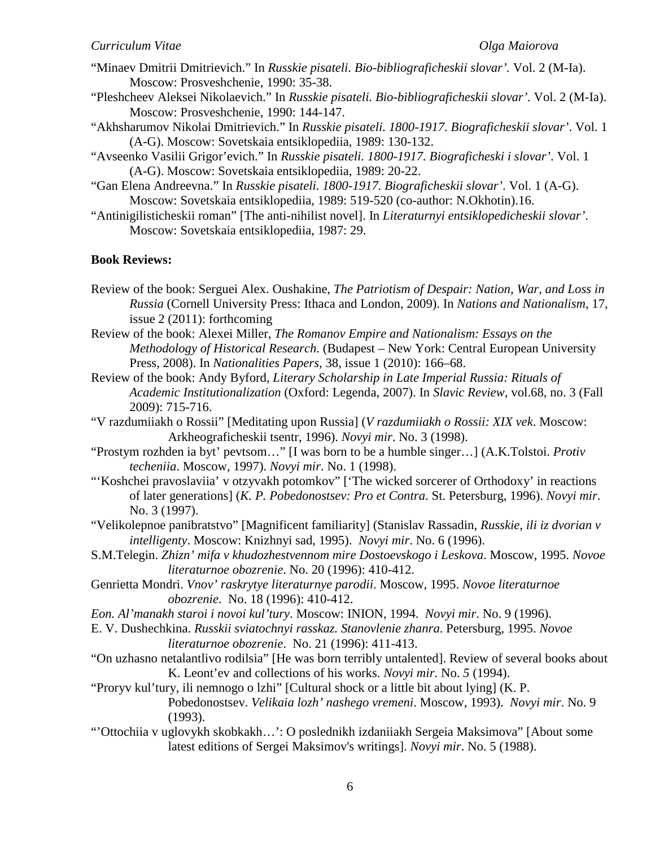- "Minaev Dmitrii Dmitrievich." In *Russkie pisateli. Bio-bibliograficheskii slovar'.* Vol. 2 (M-Ia). Moscow: Prosveshchenie, 1990: 35-38.
- "Pleshcheev Aleksei Nikolaevich." In *Russkie pisateli. Bio-bibliograficheskii slovar'.* Vol. 2 (M-Ia). Moscow: Prosveshchenie, 1990: 144-147.
- "Akhsharumov Nikolai Dmitrievich." In *Russkie pisateli. 1800-1917. Biograficheskii slovar'*. Vol. 1 (A-G). Мoscow: Sovetskaia entsiklopediia, 1989: 130-132.
- "Avseenko Vasilii Grigor'evich." In *Russkie pisateli. 1800-1917. Biograficheski i slovar'*. Vol. 1 (A-G). Мoscow: Sovetskaia entsiklopediia, 1989: 20-22.
- "Gan Elena Andreevna." In *Russkie pisateli. 1800-1917. Biograficheskii slovar'*. Vol. 1 (A-G). Мoscow: Sovetskaia entsiklopediia, 1989: 519-520 (co-author: N.Okhotin).16.
- "Antinigilisticheskii roman" [The anti-nihilist novel]. In *Literaturnyi entsiklopedicheskii slovar'*. Moscow: Sovetskaia entsiklopediia, 1987: 29.

### **Book Reviews:**

- Review of the book: Serguei Alex. Oushakine, *The Patriotism of Despair: Nation, War, and Loss in Russia* (Cornell University Press: Ithaca and London, 2009). In *Nations and Nationalism*, 17, issue 2 (2011): forthcoming
- Review of the book: Alexei Miller, *The Romanov Empire and Nationalism: Essays on the Methodology of Historical Research*. (Budapest – New York: Central European University Press, 2008). In *Nationalities Papers*, 38, issue 1 (2010): 166–68.
- Review of the book: Andy Byford, *Literary Scholarship in Late Imperial Russia: Rituals of Academic Institutionalization* (Oxford: Legenda, 2007). In *Slavic Review*, vol.68, no. 3 (Fall 2009): 715-716.
- "V razdumiiakh o Rossii" [Meditating upon Russia] (*V razdumiiakh o Rossii: XIX vek*. Moscow: Arkheograficheskii tsentr, 1996). *Novyi mir*. No. 3 (1998).
- "Prostym rozhden ia byt' pevtsom…" [I was born to be a humble singer…] (A.K.Tolstoi. *Protiv techeniia*. Moscow, 1997). *Novyi mir*. No. 1 (1998).
- "'Koshchei pravoslaviia' v otzyvakh potomkov" ['The wicked sorcerer of Orthodoxy' in reactions of later generations] (*K. P. Pobedonostsev: Pro et Contra*. St. Petersburg, 1996). *Novyi mir*. No. 3 (1997).
- "Velikolepnoe panibratstvo" [Magnificent familiarity] (Stanislav Rassadin, *Russkie, ili iz dvorian v intelligenty*. Moscow: Knizhnyi sad, 1995). *Novyi mir*. No. 6 (1996).
- S.M.Telegin. *Zhizn' mifa v khudozhestvennom mire Dostoevskogo i Leskova*. Moscow, 1995. *Novoe literaturnoe obozrenie*. No. 20 (1996): 410-412.
- Genrietta Mondri. *Vnov' raskrytye literaturnye parodii*. Moscow, 1995. *Novoe literaturnoe obozrenie*. No. 18 (1996): 410-412.
- *Eon. Al'manakh staroi i novoi kul'tury*. Moscow: INION, 1994. *Novyi mir*. No. 9 (1996).
- E. V. Dushechkina. *Russkii sviatochnyi rasskaz. Stanovlenie zhanra*. Petersburg, 1995. *Novoe literaturnoe obozrenie*. No. 21 (1996): 411-413.
- "On uzhasno netalantlivo rodilsia" [He was born terribly untalented]. Review of several books about K. Leont'ev and collections of his works. *Novyi mir.* No. *5* (1994).
- "Proryv kul'tury, ili nemnogo o lzhi" [Cultural shock or a little bit about lying] (K. P. Pobedonostsev. *Velikaia lozh' nashego vremeni*. Moscow, 1993). *Novyi mir*. No. 9 (1993).
- "'Ottochiia v uglovykh skobkakh…': O poslednikh izdaniiakh Sergeia Maksimova" [About some latest editions of Sergei Maksimov's writings]. *Novyi mir*. No. 5 (1988).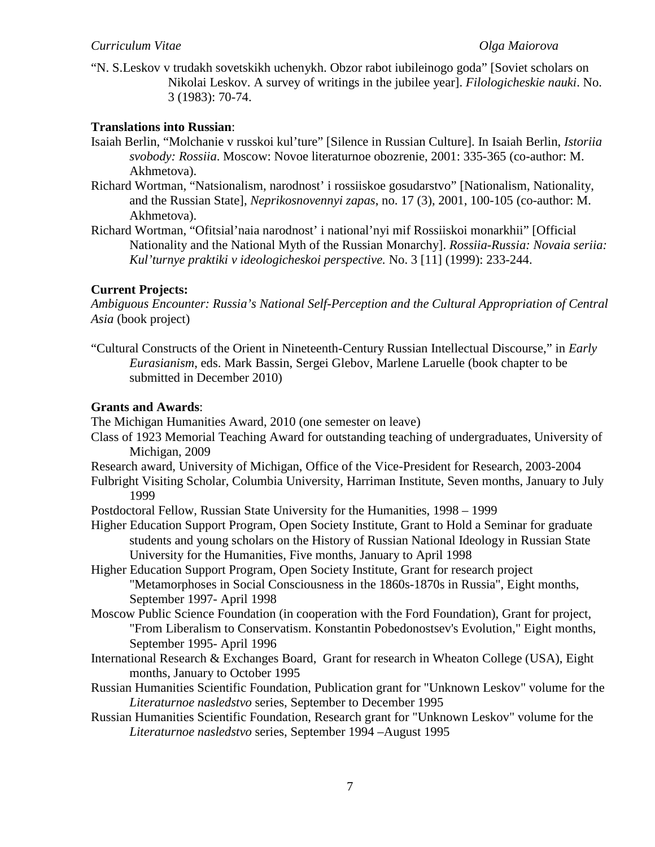"N. S.Leskov v trudakh sovetskikh uchenykh. Obzor rabot iubileinogo goda" [Soviet scholars on Nikolai Leskov. A survey of writings in the jubilee year]. *Filologicheskie nauki*. No. 3 (1983): 70-74.

### **Translations into Russian**:

- Isaiah Berlin, "Molchanie v russkoi kul'ture" [Silence in Russian Culture]. In Isaiah Berlin, *Istoriia svobody: Rossiia*. Moscow: Novoe literaturnoe obozrenie, 2001: 335-365 (co-author: M. Akhmetova).
- Richard Wortman, "Natsionalism, narodnost' i rossiiskoe gosudarstvo" [Nationalism, Nationality, and the Russian State], *Neprikosnovennyi zapas*, no. 17 (3), 2001, 100-105 (co-author: M. Akhmetova).
- Richard Wortman, "Ofitsial'naia narodnost' i national'nyi mif Rossiiskoi monarkhii" [Official Nationality and the National Myth of the Russian Monarchy]. *Rossiia-Russia: Novaia seriia: Kul'turnye praktiki v ideologicheskoi perspective.* No. 3 [11] (1999): 233-244.

## **Current Projects:**

*Ambiguous Encounter: Russia's National Self-Perception and the Cultural Appropriation of Central Asia* (book project)

"Cultural Constructs of the Orient in Nineteenth-Century Russian Intellectual Discourse," in *Early Eurasianism*, eds. Mark Bassin, Sergei Glebov, Marlene Laruelle (book chapter to be submitted in December 2010)

### **Grants and Awards**:

The Michigan Humanities Award, 2010 (one semester on leave)

- Class of 1923 Memorial Teaching Award for outstanding teaching of undergraduates, University of Michigan, 2009
- Research award, University of Michigan, Office of the Vice-President for Research, 2003-2004

Fulbright Visiting Scholar, Columbia University, Harriman Institute, Seven months, January to July 1999

- Postdoctoral Fellow, Russian State University for the Humanities, 1998 1999
- Higher Education Support Program, Open Society Institute, Grant to Hold a Seminar for graduate students and young scholars on the History of Russian National Ideology in Russian State University for the Humanities, Five months, January to April 1998
- Higher Education Support Program, Open Society Institute, Grant for research project "Metamorphoses in Social Consciousness in the 1860s-1870s in Russia", Eight months, September 1997- April 1998
- Moscow Public Science Foundation (in cooperation with the Ford Foundation), Grant for project, "From Liberalism to Conservatism. Konstantin Pobedonostsev's Evolution," Eight months, September 1995- April 1996
- International Research & Exchanges Board, Grant for research in Wheaton College (USA), Eight months, January to October 1995
- Russian Humanities Scientific Foundation, Publication grant for "Unknown Leskov" volume for the *Literaturnoe nasledstvo* series, September to December 1995
- Russian Humanities Scientific Foundation, Research grant for "Unknown Leskov" volume for the *Literaturnoe nasledstvo* series, September 1994 –August 1995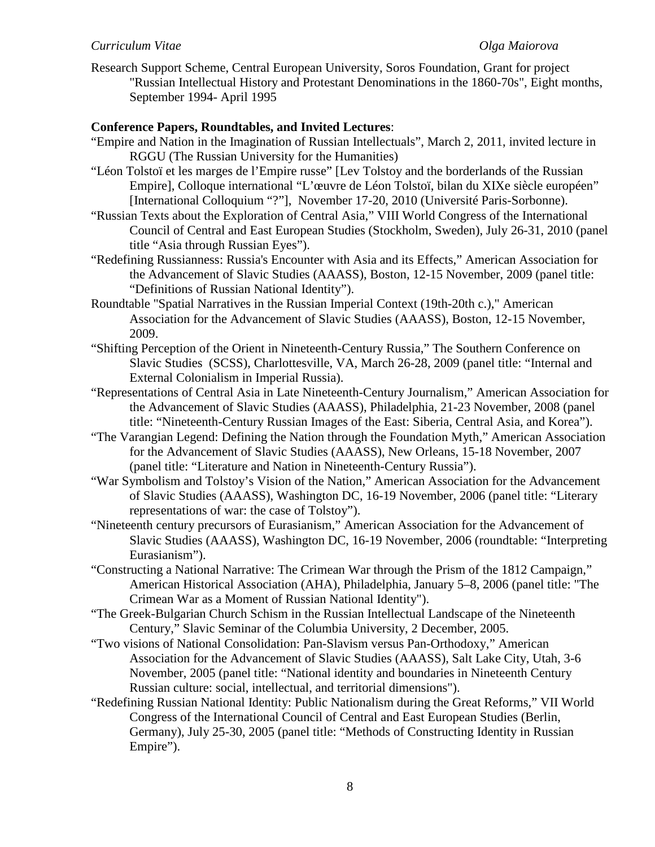Research Support Scheme, Central European University, Soros Foundation, Grant for project "Russian Intellectual History and Protestant Denominations in the 1860-70s", Eight months, September 1994- April 1995

## **Conference Papers, Roundtables, and Invited Lectures**:

- "Empire and Nation in the Imagination of Russian Intellectuals", March 2, 2011, invited lecture in RGGU (The Russian University for the Humanities)
- "Léon Tolstoï et les marges de l'Empire russe" [Lev Tolstoy and the borderlands of the Russian Empire], Colloque international "L'œuvre de Léon Tolstoï, bilan du XIXe siècle européen" [International Colloquium "?"], November 17-20, 2010 (Université Paris-Sorbonne).
- "Russian Texts about the Exploration of Central Asia," VIII World Congress of the International Council of Central and East European Studies (Stockholm, Sweden), July 26-31, 2010 (panel title "Asia through Russian Eyes").
- "Redefining Russianness: Russia's Encounter with Asia and its Effects," American Association for the Advancement of Slavic Studies (AAASS), Boston, 12-15 November, 2009 (panel title: "Definitions of Russian National Identity").
- Roundtable "Spatial Narratives in the Russian Imperial Context (19th-20th c.)," American Association for the Advancement of Slavic Studies (AAASS), Boston, 12-15 November, 2009.
- "Shifting Perception of the Orient in Nineteenth-Century Russia," The Southern Conference on Slavic Studies (SCSS), Charlottesville, VA, March 26-28, 2009 (panel title: "Internal and External Colonialism in Imperial Russia).
- "Representations of Central Asia in Late Nineteenth-Century Journalism," American Association for the Advancement of Slavic Studies (AAASS), Philadelphia, 21-23 November, 2008 (panel title: "Nineteenth-Century Russian Images of the East: Siberia, Central Asia, and Korea").
- "The Varangian Legend: Defining the Nation through the Foundation Myth," American Association for the Advancement of Slavic Studies (AAASS), New Orleans, 15-18 November, 2007 (panel title: "Literature and Nation in Nineteenth-Century Russia").
- "War Symbolism and Tolstoy's Vision of the Nation," American Association for the Advancement of Slavic Studies (AAASS), Washington DC, 16-19 November, 2006 (panel title: "Literary representations of war: the case of Tolstoy").
- "Nineteenth century precursors of Eurasianism," American Association for the Advancement of Slavic Studies (AAASS), Washington DC, 16-19 November, 2006 (roundtable: "Interpreting Eurasianism").
- "Constructing a National Narrative: The Crimean War through the Prism of the 1812 Campaign," American Historical Association (AHA), Philadelphia, January 5–8, 2006 (panel title: "The Crimean War as a Moment of Russian National Identity").
- "The Greek-Bulgarian Church Schism in the Russian Intellectual Landscape of the Nineteenth Century," Slavic Seminar of the Columbia University, 2 December, 2005.
- "Two visions of National Consolidation: Pan-Slavism versus Pan-Orthodoxy," American Association for the Advancement of Slavic Studies (AAASS), Salt Lake City, Utah, 3-6 November, 2005 (panel title: "National identity and boundaries in Nineteenth Century Russian culture: social, intellectual, and territorial dimensions").
- "Redefining Russian National Identity: Public Nationalism during the Great Reforms," VII World Congress of the International Council of Central and East European Studies (Berlin, Germany), July 25-30, 2005 (panel title: "Methods of Constructing Identity in Russian Empire").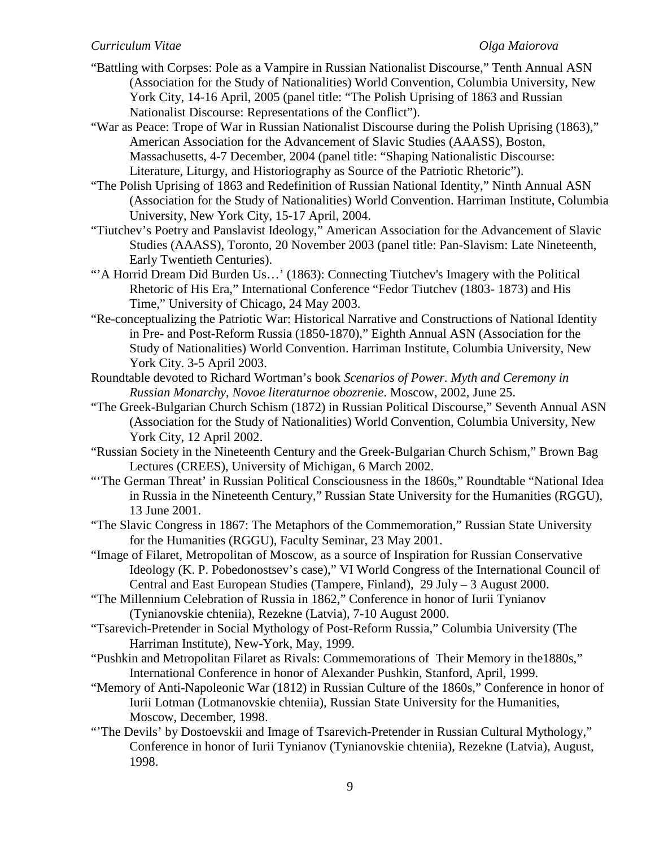- "Battling with Corpses: Pole as a Vampire in Russian Nationalist Discourse," Tenth Annual ASN (Association for the Study of Nationalities) World Convention, Columbia University, New York City, 14-16 April, 2005 (panel title: "The Polish Uprising of 1863 and Russian Nationalist Discourse: Representations of the Conflict").
- "War as Peace: Trope of War in Russian Nationalist Discourse during the Polish Uprising (1863)," American Association for the Advancement of Slavic Studies (AAASS), Boston, Massachusetts, 4-7 December, 2004 (panel title: "Shaping Nationalistic Discourse: Literature, Liturgy, and Historiography as Source of the Patriotic Rhetoric").
- "The Polish Uprising of 1863 and Redefinition of Russian National Identity," Ninth Annual ASN (Association for the Study of Nationalities) World Convention. Harriman Institute, Columbia University, New York City, 15-17 April, 2004.
- "Tiutchev's Poetry and Panslavist Ideology," American Association for the Advancement of Slavic Studies (AAASS), Toronto, 20 November 2003 (panel title: Pan-Slavism: Late Nineteenth, Early Twentieth Centuries).
- ""A Horrid Dream Did Burden Us..." (1863): Connecting Tiutchev's Imagery with the Political Rhetoric of His Era," International Conference "Fedor Tiutchev (1803- 1873) and His Time," University of Chicago, 24 May 2003.
- "Re-conceptualizing the Patriotic War: Historical Narrative and Constructions of National Identity in Pre- and Post-Reform Russia (1850-1870)," Eighth Annual ASN (Association for the Study of Nationalities) World Convention. Harriman Institute, Columbia University, New York City. 3-5 April 2003.
- Roundtable devoted to Richard Wortman's book *Scenarios of Power. Myth and Ceremony in Russian Monarchy*, *Novoe literaturnoe obozrenie*. Moscow, 2002, June 25.
- "The Greek-Bulgarian Church Schism (1872) in Russian Political Discourse," Seventh Annual ASN (Association for the Study of Nationalities) World Convention, Columbia University, New York City, 12 April 2002.
- "Russian Society in the Nineteenth Century and the Greek-Bulgarian Church Schism," Brown Bag Lectures (CREES), University of Michigan, 6 March 2002.
- "'The German Threat' in Russian Political Consciousness in the 1860s," Roundtable "National Idea in Russia in the Nineteenth Century," Russian State University for the Humanities (RGGU), 13 June 2001.
- "The Slavic Congress in 1867: The Metaphors of the Commemoration," Russian State University for the Humanities (RGGU), Faculty Seminar, 23 May 2001.
- "Image of Filaret, Metropolitan of Moscow, as a source of Inspiration for Russian Conservative Ideology (K. P. Pobedonostsev's case)," VI World Congress of the International Council of Central and East European Studies (Tampere, Finland), 29 July – 3 August 2000.
- "The Millennium Celebration of Russia in 1862," Conference in honor of Iurii Tynianov (Tynianovskie chteniia), Rezekne (Latvia), 7-10 August 2000.
- "Tsarevich-Pretender in Social Mythology of Post-Reform Russia," Columbia University (The Harriman Institute), New-York, May, 1999.
- "Pushkin and Metropolitan Filaret as Rivals: Commemorations of Their Memory in the1880s," International Conference in honor of Alexander Pushkin, Stanford, April, 1999.
- "Memory of Anti-Napoleonic War (1812) in Russian Culture of the 1860s," Conference in honor of Iurii Lotman (Lotmanovskie chteniia), Russian State University for the Humanities, Moscow, December, 1998.
- "'The Devils' by Dostoevskii and Image of Tsarevich-Pretender in Russian Cultural Mythology," Conference in honor of Iurii Tynianov (Tynianovskie chteniia), Rezekne (Latvia), August, 1998.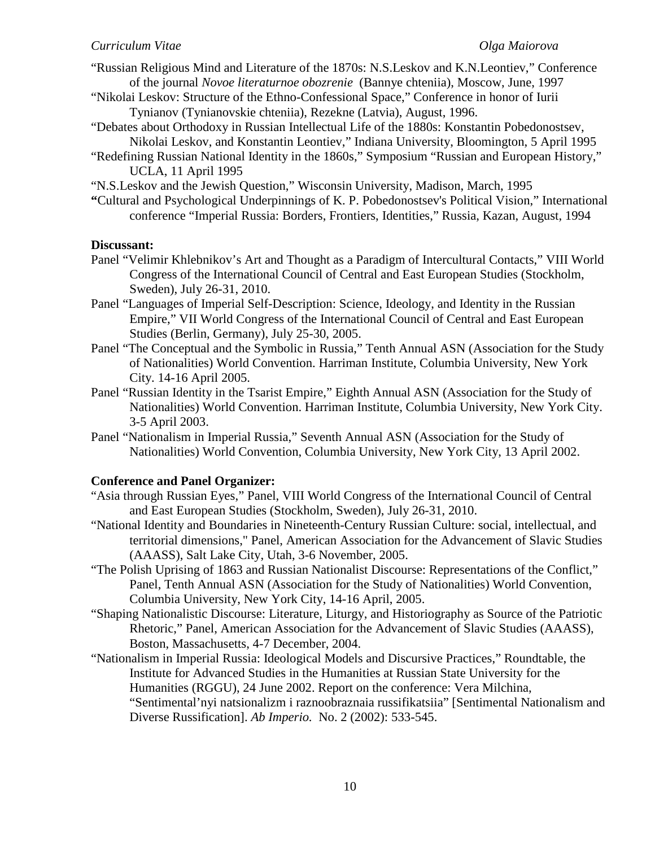- "Russian Religious Mind and Literature of the 1870s: N.S.Leskov and K.N.Leontiev," Conference of the journal *Novoe literaturnoe obozrenie* (Bannye chteniia), Moscow, June, 1997
- "Nikolai Leskov: Structure of the Ethno-Confessional Space," Conference in honor of Iurii Tynianov (Tynianovskie chteniia), Rezekne (Latvia), August, 1996.
- "Debates about Orthodoxy in Russian Intellectual Life of the 1880s: Konstantin Pobedonostsev, Nikolai Leskov, and Konstantin Leontiev," Indiana University, Bloomington, 5 April 1995
- "Redefining Russian National Identity in the 1860s," Symposium "Russian and European History," UCLA, 11 April 1995
- "N.S.Leskov and the Jewish Question," Wisconsin University, Madison, March, 1995
- **"**Cultural and Psychological Underpinnings of K. P. Pobedonostsev's Political Vision," International conference "Imperial Russia: Borders, Frontiers, Identities," Russia, Kazan, August, 1994

## **Discussant:**

- Panel "Velimir Khlebnikov's Art and Thought as a Paradigm of Intercultural Contacts," VIII World Congress of the International Council of Central and East European Studies (Stockholm, Sweden), July 26-31, 2010.
- Panel "Languages of Imperial Self-Description: Science, Ideology, and Identity in the Russian Empire," VII World Congress of the International Council of Central and East European Studies (Berlin, Germany), July 25-30, 2005.
- Panel "The Conceptual and the Symbolic in Russia," Tenth Annual ASN (Association for the Study of Nationalities) World Convention. Harriman Institute, Columbia University, New York City. 14-16 April 2005.
- Panel "Russian Identity in the Tsarist Empire," Eighth Annual ASN (Association for the Study of Nationalities) World Convention. Harriman Institute, Columbia University, New York City. 3-5 April 2003.
- Panel "Nationalism in Imperial Russia," Seventh Annual ASN (Association for the Study of Nationalities) World Convention, Columbia University, New York City, 13 April 2002.

## **Conference and Panel Organizer:**

- "Asia through Russian Eyes," Panel, VIII World Congress of the International Council of Central and East European Studies (Stockholm, Sweden), July 26-31, 2010.
- "National Identity and Boundaries in Nineteenth-Century Russian Culture: social, intellectual, and territorial dimensions," Panel, American Association for the Advancement of Slavic Studies (AAASS), Salt Lake City, Utah, 3-6 November, 2005.
- "The Polish Uprising of 1863 and Russian Nationalist Discourse: Representations of the Conflict," Panel, Tenth Annual ASN (Association for the Study of Nationalities) World Convention, Columbia University, New York City, 14-16 April, 2005.
- "Shaping Nationalistic Discourse: Literature, Liturgy, and Historiography as Source of the Patriotic Rhetoric," Panel, American Association for the Advancement of Slavic Studies (AAASS), Boston, Massachusetts, 4-7 December, 2004.
- "Nationalism in Imperial Russia: Ideological Models and Discursive Practices," Roundtable, the Institute for Advanced Studies in the Humanities at Russian State University for the Humanities (RGGU), 24 June 2002. Report on the conference: Vera Milchina, "Sentimental'nyi natsionalizm i raznoobraznaia russifikatsiia" [Sentimental Nationalism and Diverse Russification]. *Ab Imperio.* No. 2 (2002): 533-545.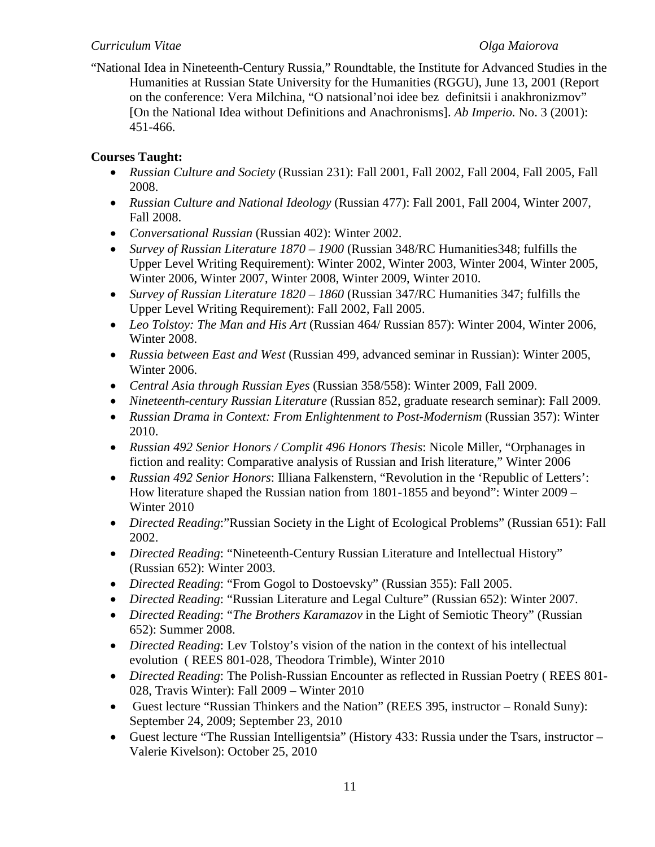"National Idea in Nineteenth-Century Russia," Roundtable, the Institute for Advanced Studies in the Humanities at Russian State University for the Humanities (RGGU), June 13, 2001 (Report on the conference: Vera Milchina, "O natsional'noi idee bez definitsii i anakhronizmov" [On the National Idea without Definitions and Anachronisms]. *Ab Imperio.* No. 3 (2001): 451-466.

# **Courses Taught:**

- *Russian Culture and Society* (Russian 231): Fall 2001, Fall 2002, Fall 2004, Fall 2005, Fall 2008.
- *Russian Culture and National Ideology* (Russian 477): Fall 2001, Fall 2004, Winter 2007, Fall 2008.
- *Conversational Russian* (Russian 402): Winter 2002.
- *Survey of Russian Literature 1870 – 1900* (Russian 348/RC Humanities348; fulfills the Upper Level Writing Requirement): Winter 2002, Winter 2003, Winter 2004, Winter 2005, Winter 2006, Winter 2007, Winter 2008, Winter 2009, Winter 2010.
- *Survey of Russian Literature 1820 – 1860* (Russian 347/RC Humanities 347; fulfills the Upper Level Writing Requirement): Fall 2002, Fall 2005.
- *Leo Tolstoy: The Man and His Art* (Russian 464/ Russian 857): Winter 2004, Winter 2006, Winter 2008.
- *Russia between East and West* (Russian 499, advanced seminar in Russian): Winter 2005, Winter 2006.
- *Central Asia through Russian Eyes* (Russian 358/558): Winter 2009, Fall 2009.
- *Nineteenth-century Russian Literature* (Russian 852, graduate research seminar): Fall 2009.
- *Russian Drama in Context: From Enlightenment to Post-Modernism* (Russian 357): Winter 2010.
- *Russian 492 Senior Honors / Complit 496 Honors Thesis*: Nicole Miller, "Orphanages in fiction and reality: Comparative analysis of Russian and Irish literature," Winter 2006
- *Russian 492 Senior Honors*: Illiana Falkenstern, "Revolution in the 'Republic of Letters': How literature shaped the Russian nation from 1801-1855 and beyond": Winter 2009 – Winter 2010
- *Directed Reading*:"Russian Society in the Light of Ecological Problems" (Russian 651): Fall 2002.
- *Directed Reading*: "Nineteenth-Century Russian Literature and Intellectual History" (Russian 652): Winter 2003.
- *Directed Reading*: "From Gogol to Dostoevsky" (Russian 355): Fall 2005.
- *Directed Reading*: "Russian Literature and Legal Culture" (Russian 652): Winter 2007.
- *Directed Reading*: "*The Brothers Karamazov* in the Light of Semiotic Theory" (Russian 652): Summer 2008.
- *Directed Reading*: Lev Tolstoy's vision of the nation in the context of his intellectual evolution ( REES 801-028, Theodora Trimble), Winter 2010
- *Directed Reading*: The Polish-Russian Encounter as reflected in Russian Poetry ( REES 801- 028, Travis Winter): Fall 2009 – Winter 2010
- Guest lecture "Russian Thinkers and the Nation" (REES 395, instructor Ronald Suny): September 24, 2009; September 23, 2010
- Guest lecture "The Russian Intelligentsia" (History 433: Russia under the Tsars, instructor Valerie Kivelson): October 25, 2010